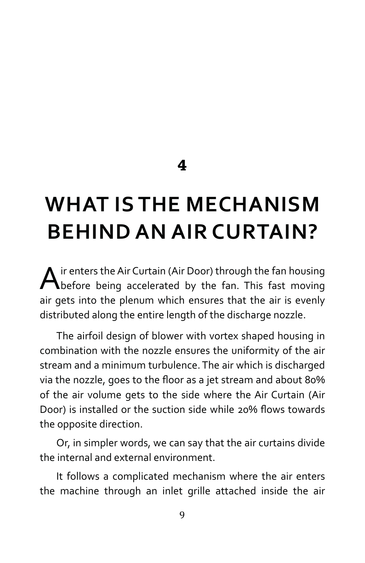**4**

## **WHAT IS THE MECHANISM BEHIND AN AIR CURTAIN?**

Air enters the Air Curtain (Air Door) through the fan housing<br>before being accelerated by the fan. This fast moving air gets into the plenum which ensures that the air is evenly distributed along the entire length of the discharge nozzle.

The airfoil design of blower with vortex shaped housing in combination with the nozzle ensures the uniformity of the air stream and a minimum turbulence. The air which is discharged via the nozzle, goes to the floor as a jet stream and about 80% of the air volume gets to the side where the Air Curtain (Air Door) is installed or the suction side while 20% flows towards the opposite direction.

Or, in simpler words, we can say that the air curtains divide the internal and external environment.

It follows a complicated mechanism where the air enters the machine through an inlet grille attached inside the air